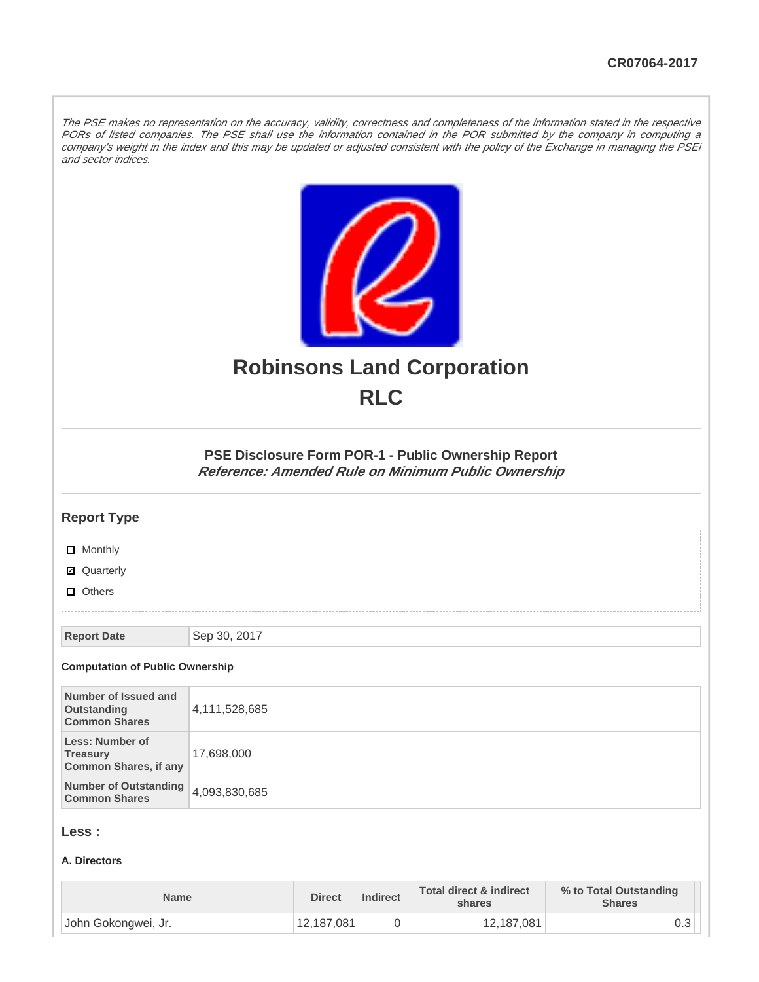The PSE makes no representation on the accuracy, validity, correctness and completeness of the information stated in the respective PORs of listed companies. The PSE shall use the information contained in the POR submitted by the company in computing a company's weight in the index and this may be updated or adjusted consistent with the policy of the Exchange in managing the PSEi and sector indices.



# **Robinsons Land Corporation RLC**

# **PSE Disclosure Form POR-1 - Public Ownership Report Reference: Amended Rule on Minimum Public Ownership**

# **Report Type**

**D** Monthly

■ Quarterly

**D** Others

**Report Date** Sep 30, 2017

#### **Computation of Public Ownership**

| Number of Issued and<br>Outstanding<br><b>Common Shares</b>        | 4,111,528,685 |
|--------------------------------------------------------------------|---------------|
| Less: Number of<br><b>Treasury</b><br><b>Common Shares, if any</b> | 17,698,000    |
| Number of Outstanding 4,093,830,685<br><b>Common Shares</b>        |               |

# **Less :**

#### **A. Directors**

| <b>Name</b>         | <b>Direct</b> | Indirect | <b>Total direct &amp; indirect</b><br>shares | % to Total Outstanding<br><b>Shares</b> |
|---------------------|---------------|----------|----------------------------------------------|-----------------------------------------|
| John Gokongwei, Jr. | 12,187,081    |          | 12,187,081                                   | υ.υ                                     |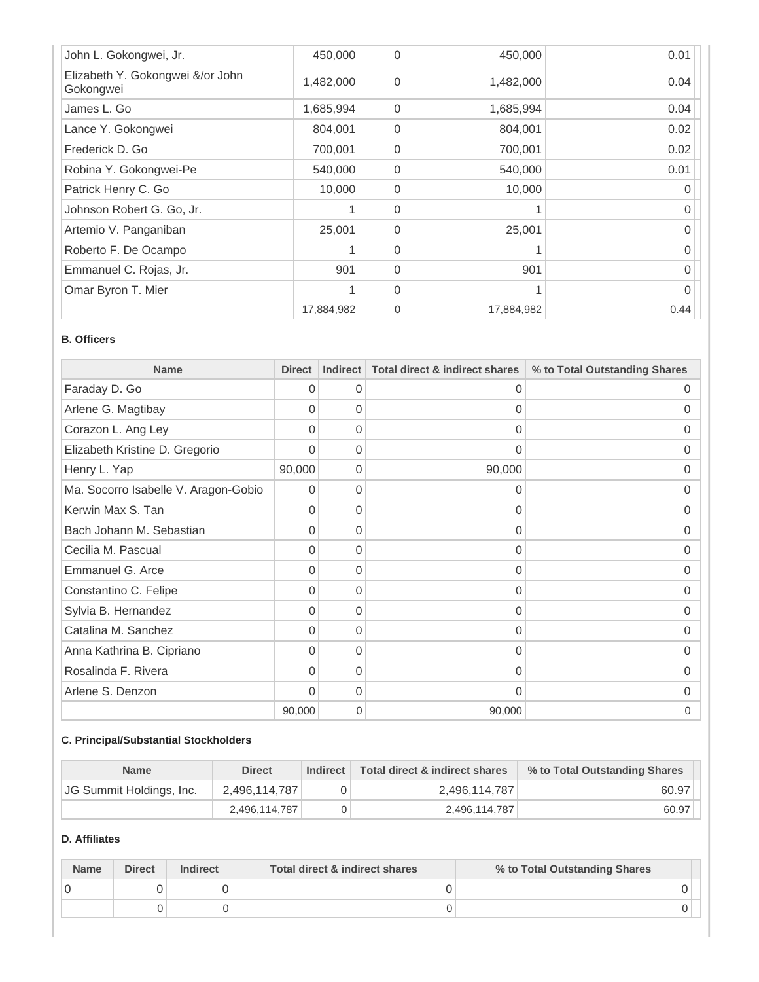| John L. Gokongwei, Jr.                        | 450,000    | $\Omega$ | 450,000    | 0.01 |
|-----------------------------------------------|------------|----------|------------|------|
| Elizabeth Y. Gokongwei &/or John<br>Gokongwei | 1,482,000  | $\Omega$ | 1,482,000  | 0.04 |
| James L. Go                                   | 1,685,994  | $\Omega$ | 1,685,994  | 0.04 |
| Lance Y. Gokongwei                            | 804,001    | $\Omega$ | 804,001    | 0.02 |
| Frederick D. Go                               | 700,001    | $\Omega$ | 700,001    | 0.02 |
| Robina Y. Gokongwei-Pe                        | 540,000    | $\Omega$ | 540,000    | 0.01 |
| Patrick Henry C. Go                           | 10,000     | $\Omega$ | 10,000     |      |
| Johnson Robert G. Go, Jr.                     |            | $\Omega$ |            |      |
| Artemio V. Panganiban                         | 25,001     | $\Omega$ | 25,001     |      |
| Roberto F. De Ocampo                          |            | $\Omega$ |            |      |
| Emmanuel C. Rojas, Jr.                        | 901        | $\Omega$ | 901        | U    |
| Omar Byron T. Mier                            |            | $\Omega$ |            |      |
|                                               | 17,884,982 | $\Omega$ | 17,884,982 | 0.44 |

#### **B. Officers**

| <b>Name</b>                          | <b>Direct</b> | <b>Indirect</b> | <b>Total direct &amp; indirect shares</b> | % to Total Outstanding Shares |
|--------------------------------------|---------------|-----------------|-------------------------------------------|-------------------------------|
| Faraday D. Go                        | $\Omega$      | $\Omega$        | 0                                         | O                             |
| Arlene G. Magtibay                   | $\Omega$      | $\Omega$        | 0                                         | O                             |
| Corazon L. Ang Ley                   | 0             | $\Omega$        | 0                                         | 0                             |
| Elizabeth Kristine D. Gregorio       | $\Omega$      | $\Omega$        | 0                                         | 0                             |
| Henry L. Yap                         | 90,000        | $\Omega$        | 90,000                                    | O                             |
| Ma. Socorro Isabelle V. Aragon-Gobio | $\Omega$      | $\Omega$        | $\Omega$                                  |                               |
| Kerwin Max S. Tan                    | $\Omega$      | $\Omega$        | 0                                         |                               |
| Bach Johann M. Sebastian             | $\Omega$      | $\Omega$        | $\Omega$                                  | O                             |
| Cecilia M. Pascual                   | $\Omega$      | $\Omega$        | 0                                         | Ω                             |
| Emmanuel G. Arce                     | $\Omega$      | 0               | 0                                         | 0                             |
| Constantino C. Felipe                | $\Omega$      | $\Omega$        | $\Omega$                                  | 0                             |
| Sylvia B. Hernandez                  | $\Omega$      | $\Omega$        | 0                                         | $\cup$                        |
| Catalina M. Sanchez                  | $\Omega$      | $\Omega$        | 0                                         | O                             |
| Anna Kathrina B. Cipriano            | $\Omega$      | $\Omega$        | $\Omega$                                  | $\cup$                        |
| Rosalinda F. Rivera                  | 0             | 0               | 0                                         | $\Omega$                      |
| Arlene S. Denzon                     | $\Omega$      | $\Omega$        | 0                                         | 0                             |
|                                      | 90,000        | 0               | 90,000                                    | 0                             |

# **C. Principal/Substantial Stockholders**

| <b>Name</b>              | <b>Direct</b> | <b>Indirect</b> | Total direct & indirect shares | % to Total Outstanding Shares |
|--------------------------|---------------|-----------------|--------------------------------|-------------------------------|
| JG Summit Holdings, Inc. | 2.496.114.787 |                 | 2,496,114,787                  | 60.97                         |
|                          | 2.496.114.787 |                 | 2,496,114,787                  | 60.97                         |

# **D. Affiliates**

| <b>Name</b> | <b>Direct</b> | <b>Indirect</b> | Total direct & indirect shares | % to Total Outstanding Shares |
|-------------|---------------|-----------------|--------------------------------|-------------------------------|
|             |               |                 |                                |                               |
|             |               |                 |                                |                               |